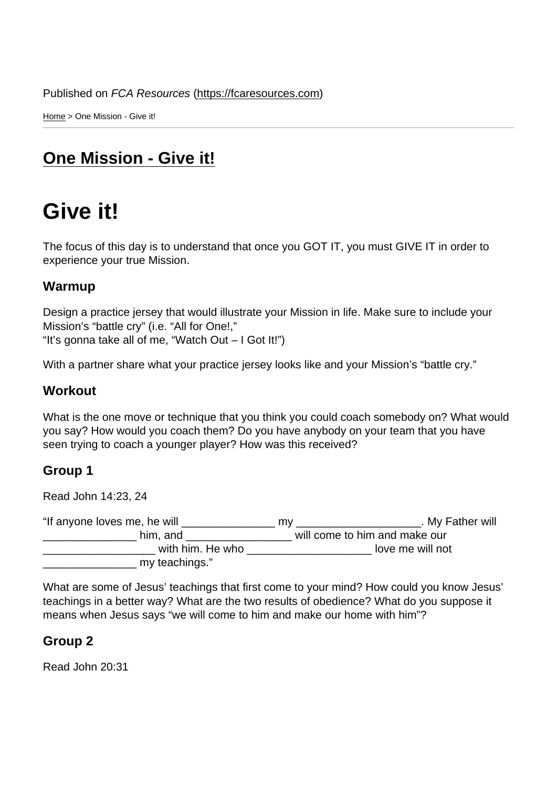Home > One Mission - Give it!

# [On](https://fcaresources.com/)e Mission - Give it!

# [Give it!](https://fcaresources.com/bible-study/one-mission-give-it)

The focus of this day is to understand that once you GOT IT, you must GIVE IT in order to experience your true Mission.

#### Warmup

Design a practice jersey that would illustrate your Mission in life. Make sure to include your Mission's "battle cry" (i.e. "All for One!," "It's gonna take all of me, "Watch Out – I Got It!")

With a partner share what your practice jersey looks like and your Mission's "battle cry."

#### **Workout**

What is the one move or technique that you think you could coach somebody on? What would you say? How would you coach them? Do you have anybody on your team that you have seen trying to coach a younger player? How was this received?

#### Group 1

Read John 14:23, 24

"If anyone loves me, he will \_\_\_\_\_\_\_\_\_\_\_\_\_\_\_ my \_\_\_\_\_\_\_\_\_\_\_\_\_\_\_\_\_\_\_\_. My Father will \_\_\_\_\_\_\_\_\_\_\_\_\_\_\_ him, and \_\_\_\_\_\_\_\_\_\_\_\_\_\_\_\_\_ will come to him and make our with him. He who will not a love me will not \_\_\_\_\_\_\_\_\_\_\_\_\_\_\_ my teachings."

What are some of Jesus' teachings that first come to your mind? How could you know Jesus' teachings in a better way? What are the two results of obedience? What do you suppose it means when Jesus says "we will come to him and make our home with him"?

Group 2

Read John 20:31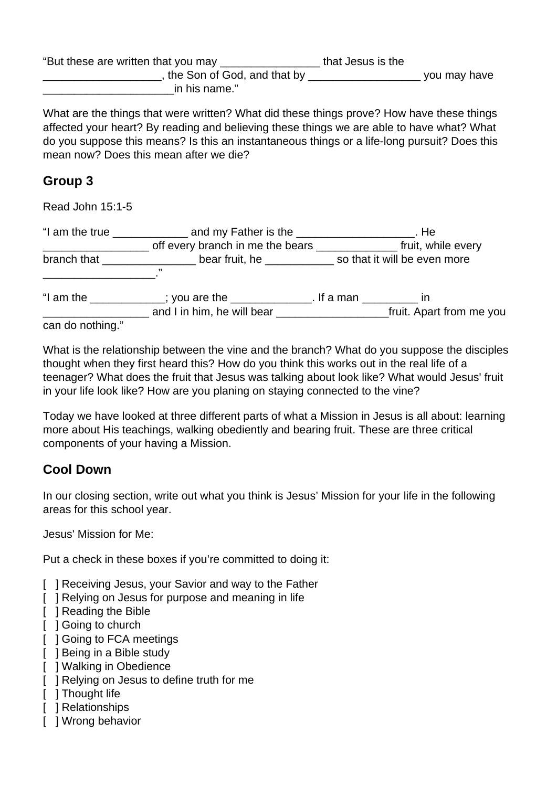| "But these are written that you may | that Jesus is the |              |
|-------------------------------------|-------------------|--------------|
| , the Son of God, and that by       |                   | you may have |
| in his name."                       |                   |              |

What are the things that were written? What did these things prove? How have these things affected your heart? By reading and believing these things we are able to have what? What do you suppose this means? Is this an instantaneous things or a life-long pursuit? Does this mean now? Does this mean after we die?

### **Group 3**

Read John 15:1-5

|                  | "I am the true $\frac{1}{\sqrt{1-\frac{1}{2}}}\frac{1}{\sqrt{1-\frac{1}{2}}}\frac{1}{\sqrt{1-\frac{1}{2}}}\frac{1}{\sqrt{1-\frac{1}{2}}}\frac{1}{\sqrt{1-\frac{1}{2}}}\frac{1}{\sqrt{1-\frac{1}{2}}}\frac{1}{\sqrt{1-\frac{1}{2}}}\frac{1}{\sqrt{1-\frac{1}{2}}}\frac{1}{\sqrt{1-\frac{1}{2}}}\frac{1}{\sqrt{1-\frac{1}{2}}}\frac{1}{\sqrt{1-\frac{1}{2}}}\frac{1}{\sqrt{1-\frac{1}{2}}}\frac{1}{\sqrt{1-\frac{1$ |  | . He                     |  |
|------------------|-------------------------------------------------------------------------------------------------------------------------------------------------------------------------------------------------------------------------------------------------------------------------------------------------------------------------------------------------------------------------------------------------------------------|--|--------------------------|--|
|                  |                                                                                                                                                                                                                                                                                                                                                                                                                   |  | fruit, while every       |  |
|                  | branch that <u>the same bear</u> fruit, he so that it will be even more<br>,,                                                                                                                                                                                                                                                                                                                                     |  |                          |  |
| "I am the        | _________; you are the ______________. If a man _________ in<br>and I in him, he will bear ___________________                                                                                                                                                                                                                                                                                                    |  | fruit. Apart from me you |  |
| can do nothing." |                                                                                                                                                                                                                                                                                                                                                                                                                   |  |                          |  |

What is the relationship between the vine and the branch? What do you suppose the disciples thought when they first heard this? How do you think this works out in the real life of a teenager? What does the fruit that Jesus was talking about look like? What would Jesus' fruit in your life look like? How are you planing on staying connected to the vine?

Today we have looked at three different parts of what a Mission in Jesus is all about: learning more about His teachings, walking obediently and bearing fruit. These are three critical components of your having a Mission.

## **Cool Down**

In our closing section, write out what you think is Jesus' Mission for your life in the following areas for this school year.

Jesus' Mission for Me:

Put a check in these boxes if you're committed to doing it:

- [ ] Receiving Jesus, your Savior and way to the Father
- [ ] Relying on Jesus for purpose and meaning in life
- [ ] Reading the Bible
- [ ] Going to church
- [  $\vert$  ] Going to FCA meetings
- [ ] Being in a Bible study
- [ ] Walking in Obedience
- [ ] Relying on Jesus to define truth for me
- [ ] Thought life
- [ ] Relationships
- [ ] Wrong behavior